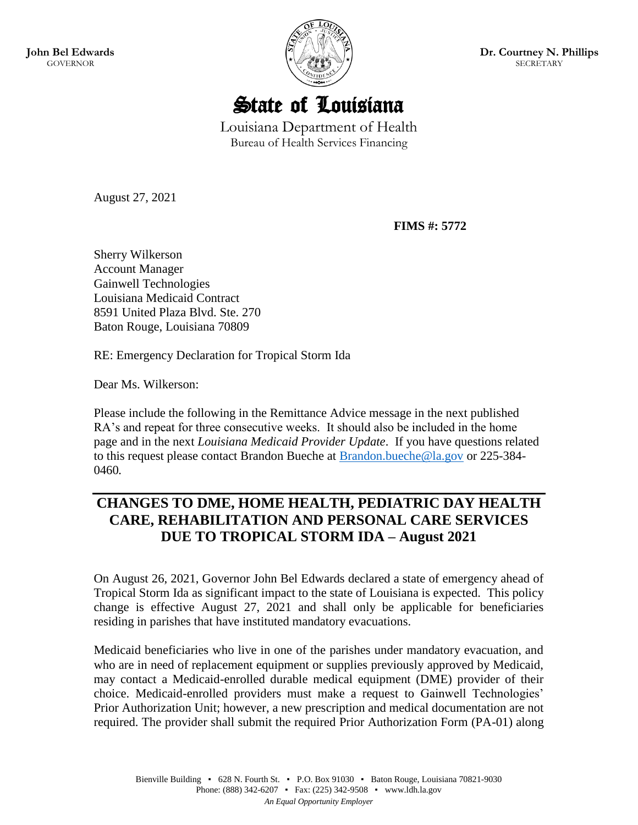**John Bel Edwards GOVERNOR** 



**Dr. Courtney N. Phillips** SECRETARY

State of Louisiana

Louisiana Department of Health Bureau of Health Services Financing

August 27, 2021

**FIMS #: 5772**

Sherry Wilkerson Account Manager Gainwell Technologies Louisiana Medicaid Contract 8591 United Plaza Blvd. Ste. 270 Baton Rouge, Louisiana 70809

RE: Emergency Declaration for Tropical Storm Ida

Dear Ms. Wilkerson:

Please include the following in the Remittance Advice message in the next published RA's and repeat for three consecutive weeks. It should also be included in the home page and in the next *Louisiana Medicaid Provider Update*. If you have questions related to this request please contact Brandon Bueche at **Brandon.bueche@la.gov** or 225-384-0460*.*

## **CHANGES TO DME, HOME HEALTH, PEDIATRIC DAY HEALTH CARE, REHABILITATION AND PERSONAL CARE SERVICES DUE TO TROPICAL STORM IDA – August 2021**

On August 26, 2021, Governor John Bel Edwards declared a state of emergency ahead of Tropical Storm Ida as significant impact to the state of Louisiana is expected. This policy change is effective August 27, 2021 and shall only be applicable for beneficiaries residing in parishes that have instituted mandatory evacuations.

Medicaid beneficiaries who live in one of the parishes under mandatory evacuation, and who are in need of replacement equipment or supplies previously approved by Medicaid, may contact a Medicaid-enrolled durable medical equipment (DME) provider of their choice. Medicaid-enrolled providers must make a request to Gainwell Technologies' Prior Authorization Unit; however, a new prescription and medical documentation are not required. The provider shall submit the required Prior Authorization Form (PA-01) along